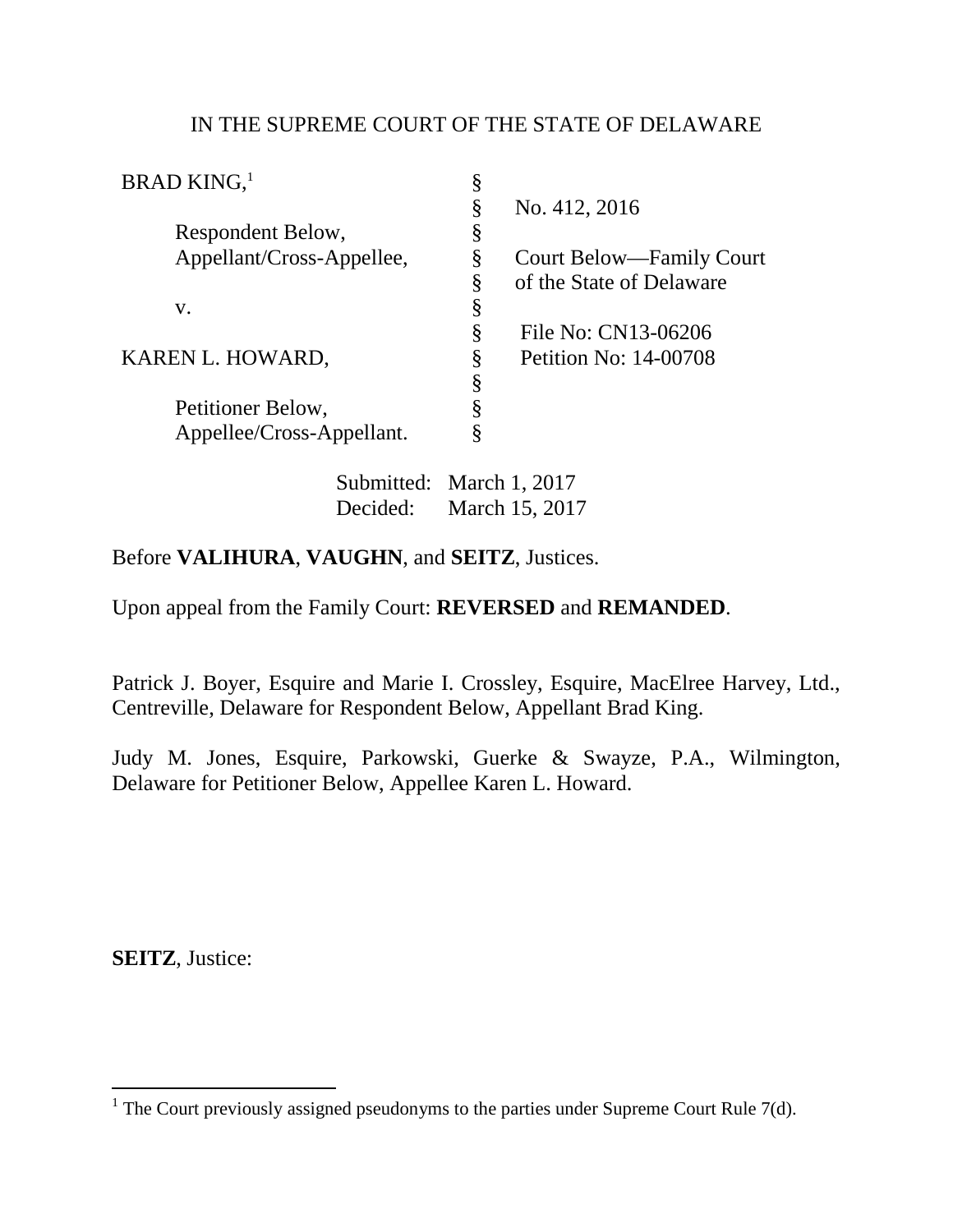## IN THE SUPREME COURT OF THE STATE OF DELAWARE

| <b>BRAD KING,</b> <sup>1</sup> |    |                          |
|--------------------------------|----|--------------------------|
|                                | §  | No. 412, 2016            |
| Respondent Below,              | \$ |                          |
| Appellant/Cross-Appellee,      | ş  | Court Below—Family Court |
|                                | Ş  | of the State of Delaware |
| V.                             | 8  |                          |
|                                | Ş  | File No: CN13-06206      |
| KAREN L. HOWARD,               | 8  | Petition No: 14-00708    |
|                                | Ş  |                          |
| Petitioner Below,              |    |                          |
| Appellee/Cross-Appellant.      |    |                          |

 Submitted: March 1, 2017 Decided: March 15, 2017

## Before **VALIHURA**, **VAUGHN**, and **SEITZ**, Justices.

Upon appeal from the Family Court: **REVERSED** and **REMANDED**.

Patrick J. Boyer, Esquire and Marie I. Crossley, Esquire, MacElree Harvey, Ltd., Centreville, Delaware for Respondent Below, Appellant Brad King.

Judy M. Jones, Esquire, Parkowski, Guerke & Swayze, P.A., Wilmington, Delaware for Petitioner Below, Appellee Karen L. Howard.

**SEITZ**, Justice:

The Court previously assigned pseudonyms to the parties under Supreme Court Rule 7(d).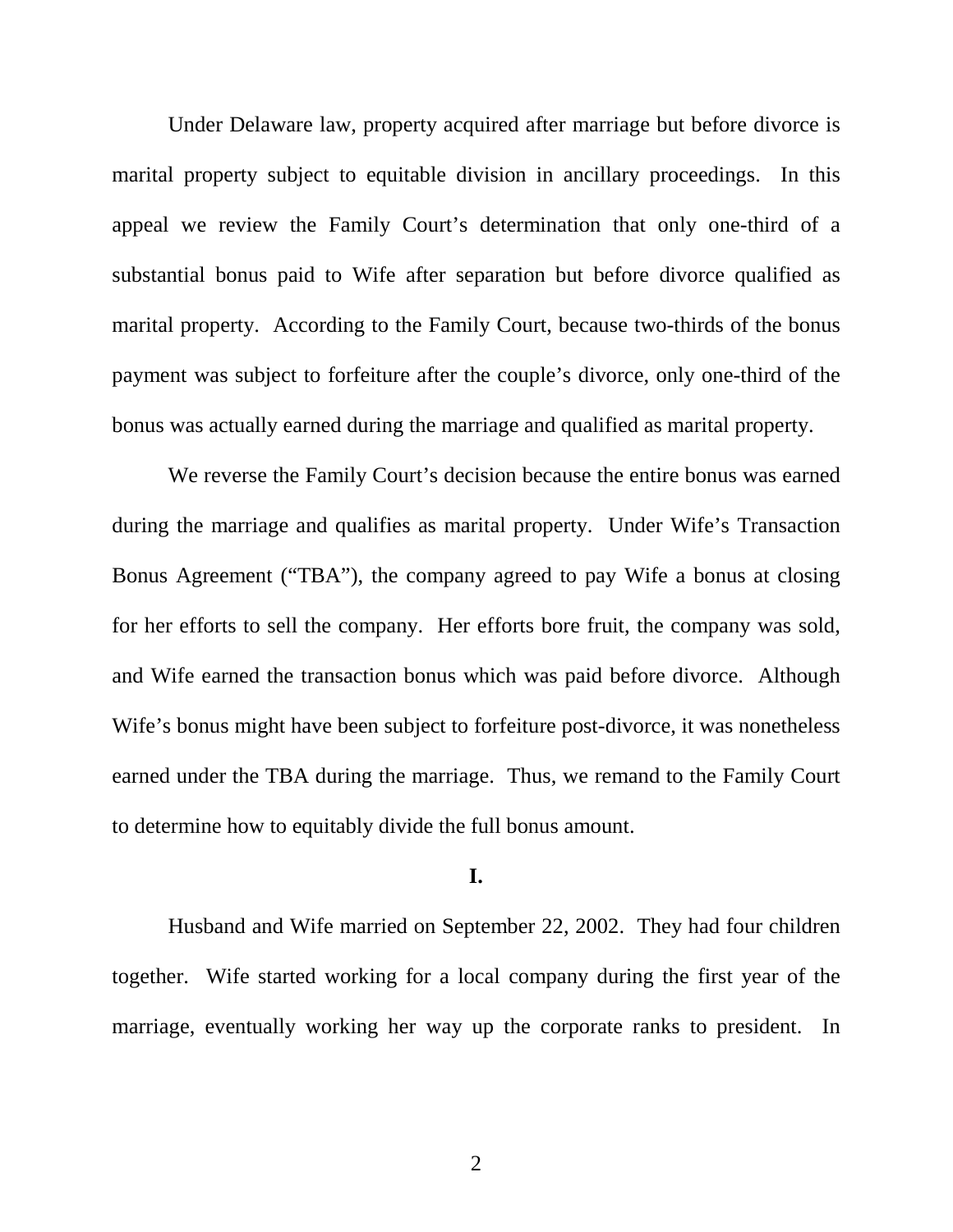Under Delaware law, property acquired after marriage but before divorce is marital property subject to equitable division in ancillary proceedings. In this appeal we review the Family Court's determination that only one-third of a substantial bonus paid to Wife after separation but before divorce qualified as marital property. According to the Family Court, because two-thirds of the bonus payment was subject to forfeiture after the couple's divorce, only one-third of the bonus was actually earned during the marriage and qualified as marital property.

 We reverse the Family Court's decision because the entire bonus was earned during the marriage and qualifies as marital property. Under Wife's Transaction Bonus Agreement ("TBA"), the company agreed to pay Wife a bonus at closing for her efforts to sell the company. Her efforts bore fruit, the company was sold, and Wife earned the transaction bonus which was paid before divorce. Although Wife's bonus might have been subject to forfeiture post-divorce, it was nonetheless earned under the TBA during the marriage. Thus, we remand to the Family Court to determine how to equitably divide the full bonus amount.

## **I.**

 Husband and Wife married on September 22, 2002. They had four children together. Wife started working for a local company during the first year of the marriage, eventually working her way up the corporate ranks to president. In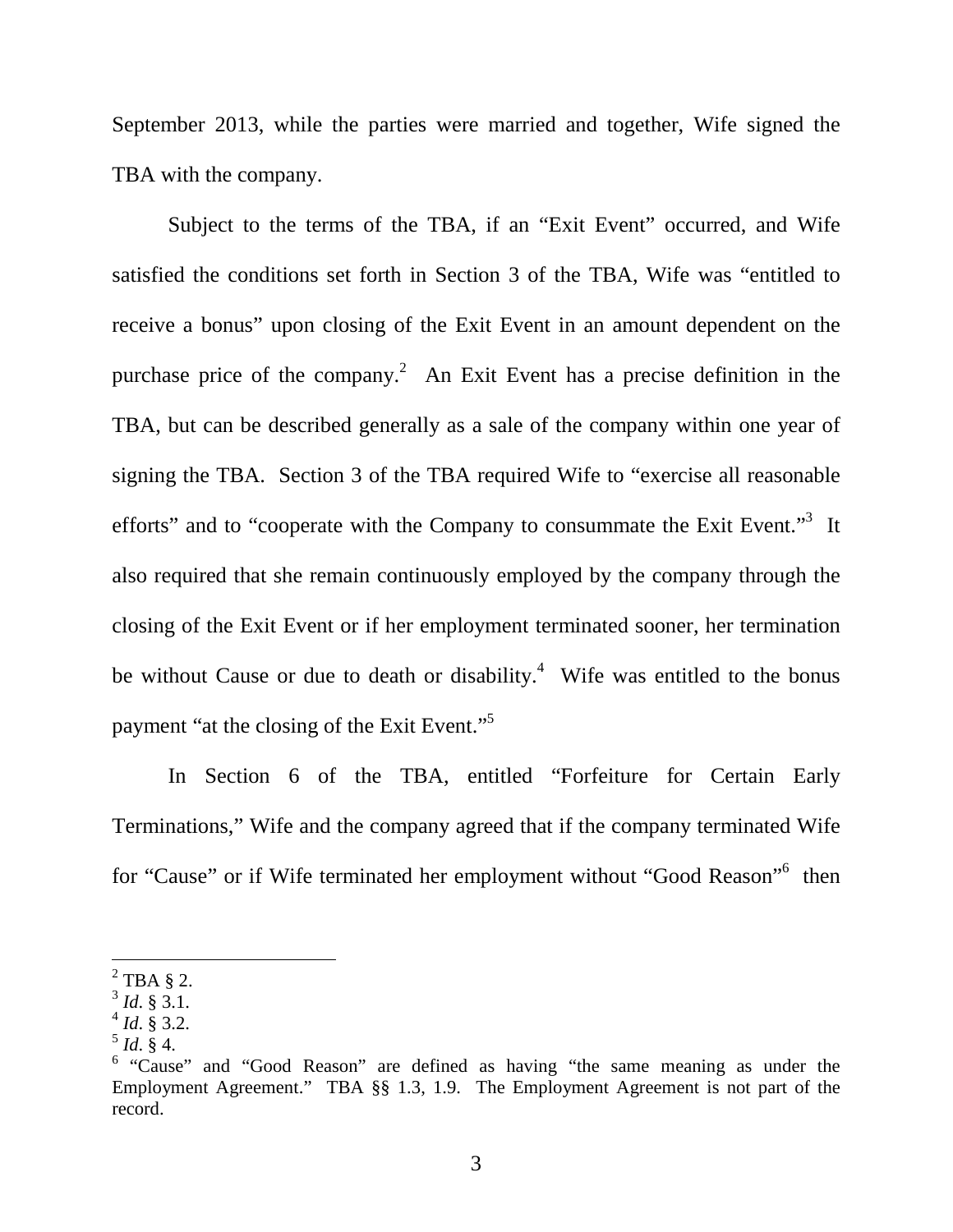September 2013, while the parties were married and together, Wife signed the TBA with the company.

 Subject to the terms of the TBA, if an "Exit Event" occurred, and Wife satisfied the conditions set forth in Section 3 of the TBA, Wife was "entitled to receive a bonus" upon closing of the Exit Event in an amount dependent on the purchase price of the company.<sup>2</sup> An Exit Event has a precise definition in the TBA, but can be described generally as a sale of the company within one year of signing the TBA. Section 3 of the TBA required Wife to "exercise all reasonable efforts" and to "cooperate with the Company to consummate the Exit Event."<sup>3</sup> It also required that she remain continuously employed by the company through the closing of the Exit Event or if her employment terminated sooner, her termination be without Cause or due to death or disability.<sup>4</sup> Wife was entitled to the bonus payment "at the closing of the Exit Event."<sup>5</sup>

 In Section 6 of the TBA, entitled "Forfeiture for Certain Early Terminations," Wife and the company agreed that if the company terminated Wife for "Cause" or if Wife terminated her employment without "Good Reason"<sup>6</sup> then

 $\overline{a}$ 

 $2$  TBA § 2.

<sup>3</sup> *Id*. § 3.1.

<sup>4</sup> *Id*. § 3.2.

 $^{5}$  *Id.* § 4.

<sup>&</sup>lt;sup>6</sup> "Cause" and "Good Reason" are defined as having "the same meaning as under the Employment Agreement." TBA §§ 1.3, 1.9. The Employment Agreement is not part of the record.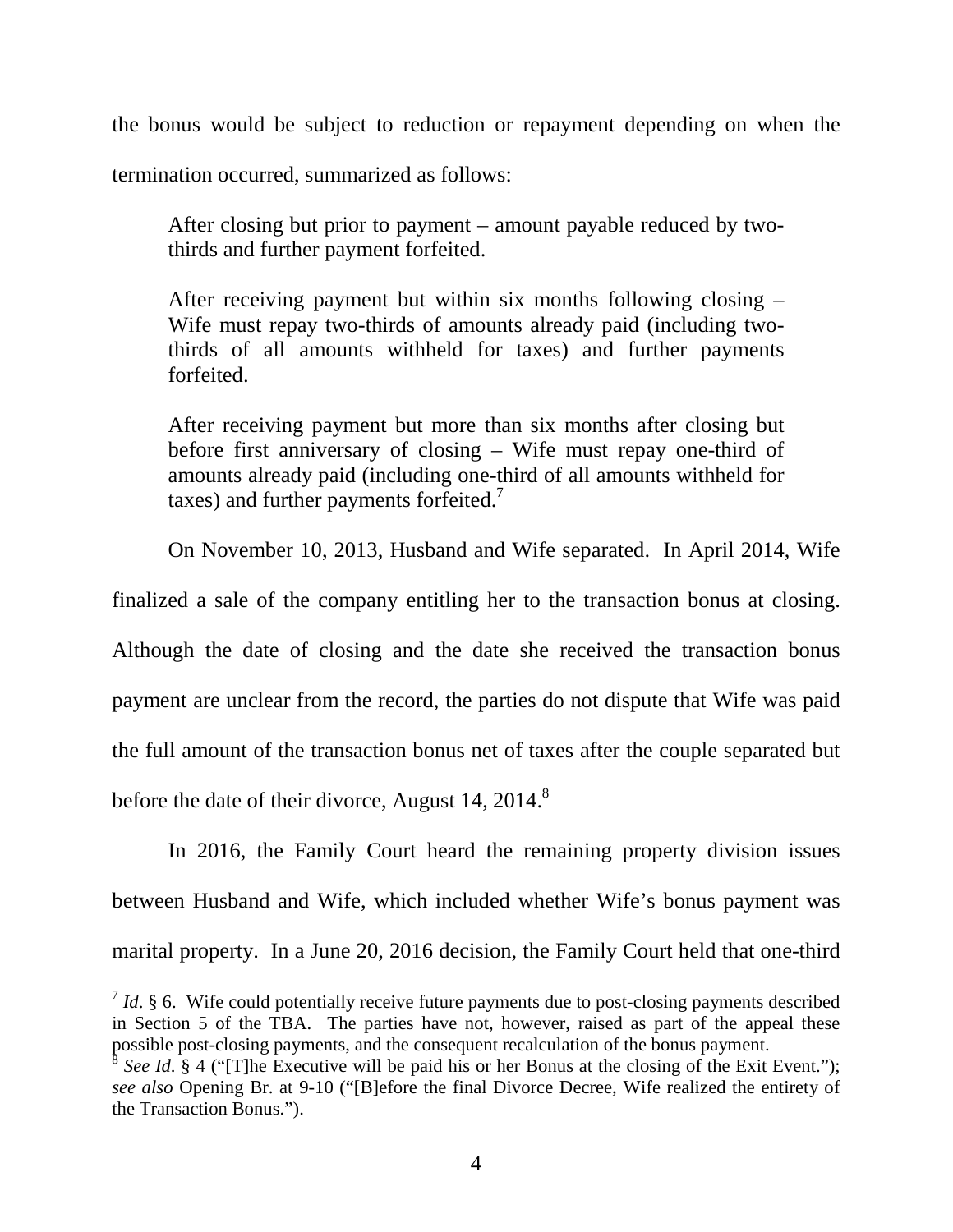the bonus would be subject to reduction or repayment depending on when the

termination occurred, summarized as follows:

After closing but prior to payment – amount payable reduced by twothirds and further payment forfeited.

After receiving payment but within six months following closing – Wife must repay two-thirds of amounts already paid (including twothirds of all amounts withheld for taxes) and further payments forfeited.

After receiving payment but more than six months after closing but before first anniversary of closing – Wife must repay one-third of amounts already paid (including one-third of all amounts withheld for taxes) and further payments forfeited.<sup>7</sup>

On November 10, 2013, Husband and Wife separated. In April 2014, Wife

finalized a sale of the company entitling her to the transaction bonus at closing. Although the date of closing and the date she received the transaction bonus payment are unclear from the record, the parties do not dispute that Wife was paid the full amount of the transaction bonus net of taxes after the couple separated but before the date of their divorce, August 14, 2014. $8$ 

 In 2016, the Family Court heard the remaining property division issues between Husband and Wife, which included whether Wife's bonus payment was marital property. In a June 20, 2016 decision, the Family Court held that one-third

<sup>&</sup>lt;sup>7</sup> *Id.* § 6. Wife could potentially receive future payments due to post-closing payments described in Section 5 of the TBA. The parties have not, however, raised as part of the appeal these possible post-closing payments, and the consequent recalculation of the bonus payment.<br><sup>8</sup> See Id & 4 ("Tibo Executive will be paid bis or her Bonus at the closing of the Exit."

*See Id.* § 4 ("[T]he Executive will be paid his or her Bonus at the closing of the Exit Event."); *see also* Opening Br. at 9-10 ("[B]efore the final Divorce Decree, Wife realized the entirety of the Transaction Bonus.").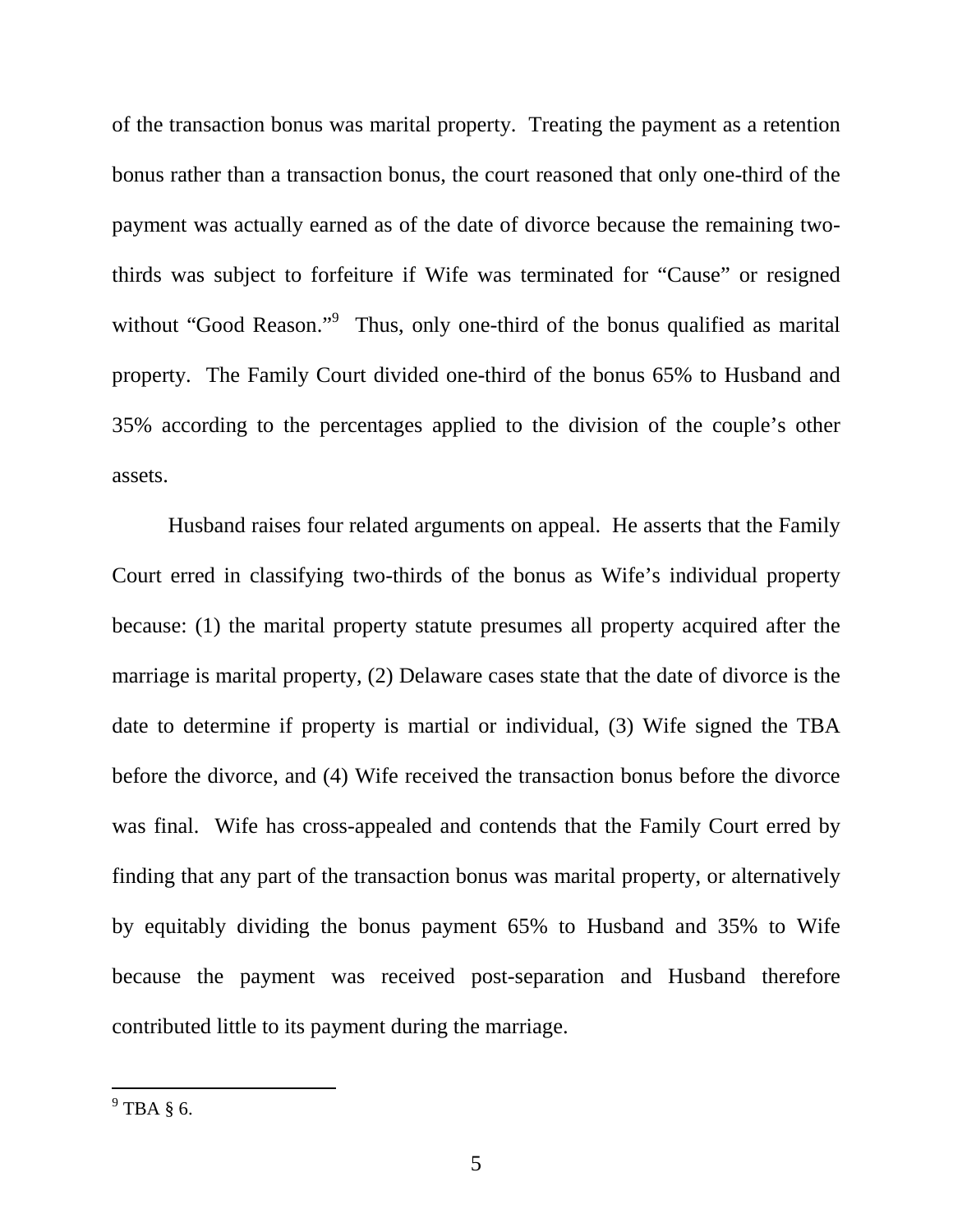of the transaction bonus was marital property. Treating the payment as a retention bonus rather than a transaction bonus, the court reasoned that only one-third of the payment was actually earned as of the date of divorce because the remaining twothirds was subject to forfeiture if Wife was terminated for "Cause" or resigned without "Good Reason."<sup>9</sup> Thus, only one-third of the bonus qualified as marital property. The Family Court divided one-third of the bonus 65% to Husband and 35% according to the percentages applied to the division of the couple's other assets.

 Husband raises four related arguments on appeal. He asserts that the Family Court erred in classifying two-thirds of the bonus as Wife's individual property because: (1) the marital property statute presumes all property acquired after the marriage is marital property, (2) Delaware cases state that the date of divorce is the date to determine if property is martial or individual, (3) Wife signed the TBA before the divorce, and (4) Wife received the transaction bonus before the divorce was final. Wife has cross-appealed and contends that the Family Court erred by finding that any part of the transaction bonus was marital property, or alternatively by equitably dividing the bonus payment 65% to Husband and 35% to Wife because the payment was received post-separation and Husband therefore contributed little to its payment during the marriage.

 $\frac{1}{9}$ TBA § 6.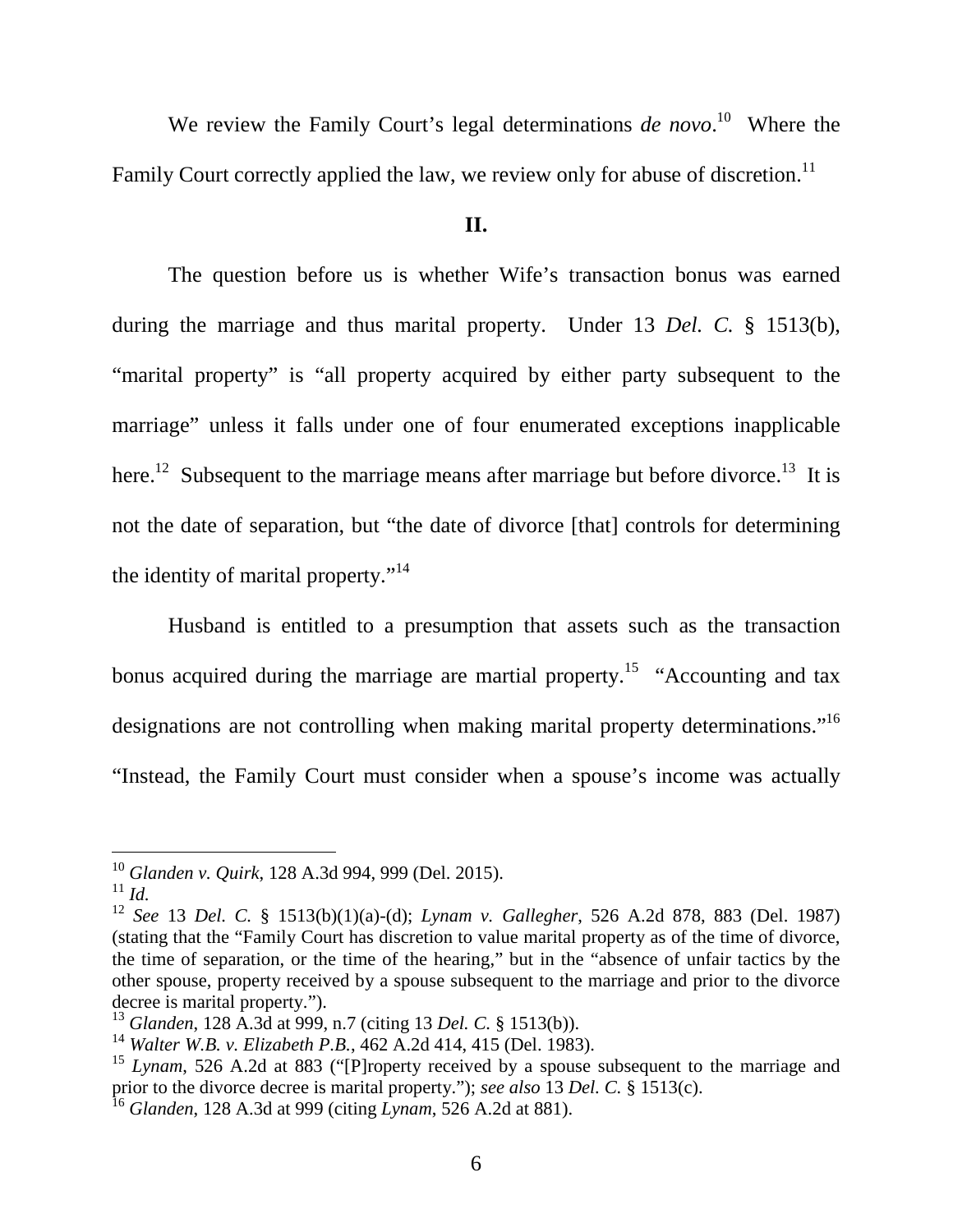We review the Family Court's legal determinations *de novo*.<sup>10</sup> Where the Family Court correctly applied the law, we review only for abuse of discretion.<sup>11</sup>

## **II.**

 The question before us is whether Wife's transaction bonus was earned during the marriage and thus marital property. Under 13 *Del. C.* § 1513(b), "marital property" is "all property acquired by either party subsequent to the marriage" unless it falls under one of four enumerated exceptions inapplicable here.<sup>12</sup> Subsequent to the marriage means after marriage but before divorce.<sup>13</sup> It is not the date of separation, but "the date of divorce [that] controls for determining the identity of marital property."<sup>14</sup>

 Husband is entitled to a presumption that assets such as the transaction bonus acquired during the marriage are martial property.<sup>15</sup> "Accounting and tax designations are not controlling when making marital property determinations."<sup>16</sup> "Instead, the Family Court must consider when a spouse's income was actually

-

<sup>10</sup> *Glanden v. Quirk*, 128 A.3d 994, 999 (Del. 2015).

<sup>11</sup> *Id.*

<sup>12</sup> *See* 13 *Del. C.* § 1513(b)(1)(a)-(d); *Lynam v. Gallegher*, 526 A.2d 878, 883 (Del. 1987) (stating that the "Family Court has discretion to value marital property as of the time of divorce, the time of separation, or the time of the hearing," but in the "absence of unfair tactics by the other spouse, property received by a spouse subsequent to the marriage and prior to the divorce decree is marital property.").

<sup>13</sup> *Glanden*, 128 A.3d at 999, n.7 (citing 13 *Del. C.* § 1513(b)).

<sup>14</sup> *Walter W.B. v. Elizabeth P.B.*, 462 A.2d 414, 415 (Del. 1983).

<sup>15</sup> *Lynam*, 526 A.2d at 883 ("[P]roperty received by a spouse subsequent to the marriage and prior to the divorce decree is marital property."); *see also* 13 *Del. C.* § 1513(c).

<sup>16</sup> *Glanden*, 128 A.3d at 999 (citing *Lynam*, 526 A.2d at 881).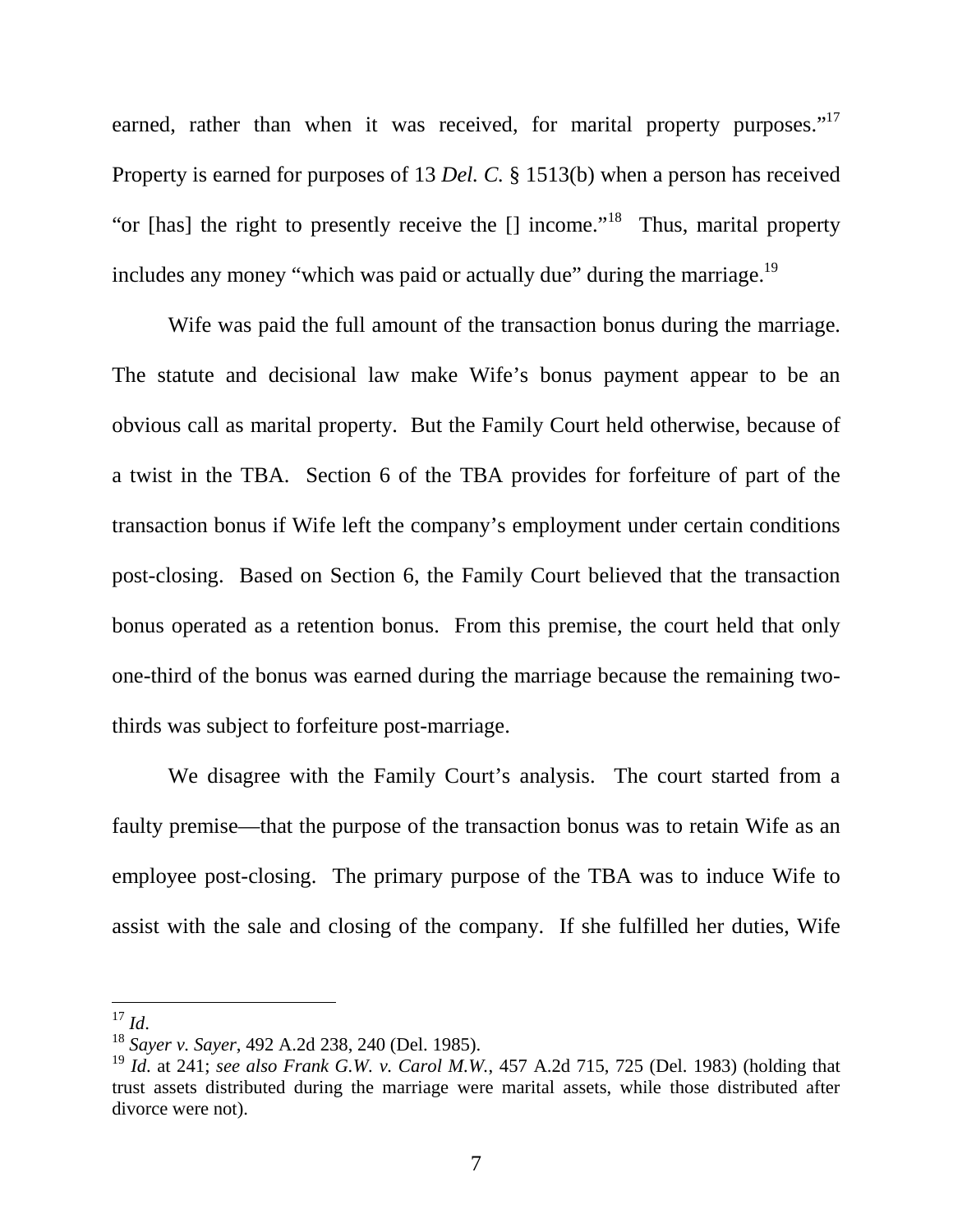earned, rather than when it was received, for marital property purposes."<sup>17</sup> Property is earned for purposes of 13 *Del. C.* § 1513(b) when a person has received "or [has] the right to presently receive the  $\lceil \cdot \rceil$  income."<sup>18</sup> Thus, marital property includes any money "which was paid or actually due" during the marriage. $^{19}$ 

 Wife was paid the full amount of the transaction bonus during the marriage. The statute and decisional law make Wife's bonus payment appear to be an obvious call as marital property. But the Family Court held otherwise, because of a twist in the TBA. Section 6 of the TBA provides for forfeiture of part of the transaction bonus if Wife left the company's employment under certain conditions post-closing. Based on Section 6, the Family Court believed that the transaction bonus operated as a retention bonus. From this premise, the court held that only one-third of the bonus was earned during the marriage because the remaining twothirds was subject to forfeiture post-marriage.

 We disagree with the Family Court's analysis. The court started from a faulty premise—that the purpose of the transaction bonus was to retain Wife as an employee post-closing. The primary purpose of the TBA was to induce Wife to assist with the sale and closing of the company. If she fulfilled her duties, Wife

<sup>-</sup> $^{17}$  *Id*.

<sup>18</sup> *Sayer v. Sayer*, 492 A.2d 238, 240 (Del. 1985).

<sup>19</sup> *Id*. at 241; *see also Frank G.W. v. Carol M.W.*, 457 A.2d 715, 725 (Del. 1983) (holding that trust assets distributed during the marriage were marital assets, while those distributed after divorce were not).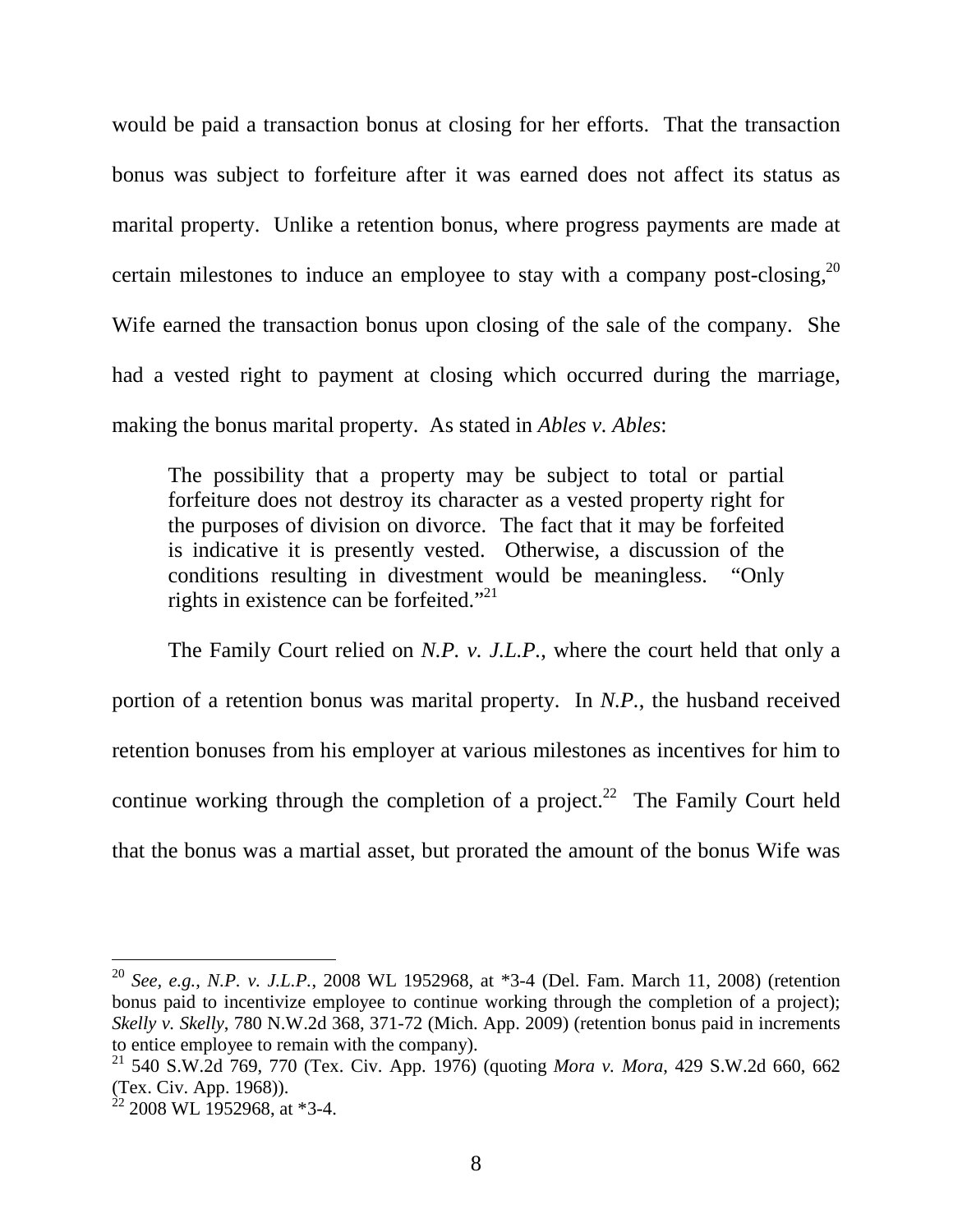would be paid a transaction bonus at closing for her efforts. That the transaction bonus was subject to forfeiture after it was earned does not affect its status as marital property. Unlike a retention bonus, where progress payments are made at certain milestones to induce an employee to stay with a company post-closing,  $2^{0}$ Wife earned the transaction bonus upon closing of the sale of the company. She had a vested right to payment at closing which occurred during the marriage, making the bonus marital property. As stated in *Ables v. Ables*:

The possibility that a property may be subject to total or partial forfeiture does not destroy its character as a vested property right for the purposes of division on divorce. The fact that it may be forfeited is indicative it is presently vested. Otherwise, a discussion of the conditions resulting in divestment would be meaningless. "Only rights in existence can be forfeited."<sup>21</sup>

 The Family Court relied on *N.P. v. J.L.P.*, where the court held that only a portion of a retention bonus was marital property. In *N.P.*, the husband received retention bonuses from his employer at various milestones as incentives for him to continue working through the completion of a project.<sup>22</sup> The Family Court held that the bonus was a martial asset, but prorated the amount of the bonus Wife was

-

<sup>20</sup> *See, e.g.*, *N.P. v. J.L.P.*, 2008 WL 1952968, at \*3-4 (Del. Fam. March 11, 2008) (retention bonus paid to incentivize employee to continue working through the completion of a project); *Skelly v. Skelly*, 780 N.W.2d 368, 371-72 (Mich. App. 2009) (retention bonus paid in increments to entice employee to remain with the company).

<sup>21</sup> 540 S.W.2d 769, 770 (Tex. Civ. App. 1976) (quoting *Mora v. Mora*, 429 S.W.2d 660, 662 (Tex. Civ. App. 1968)).

 $^{22}$  2008 WL 1952968, at \*3-4.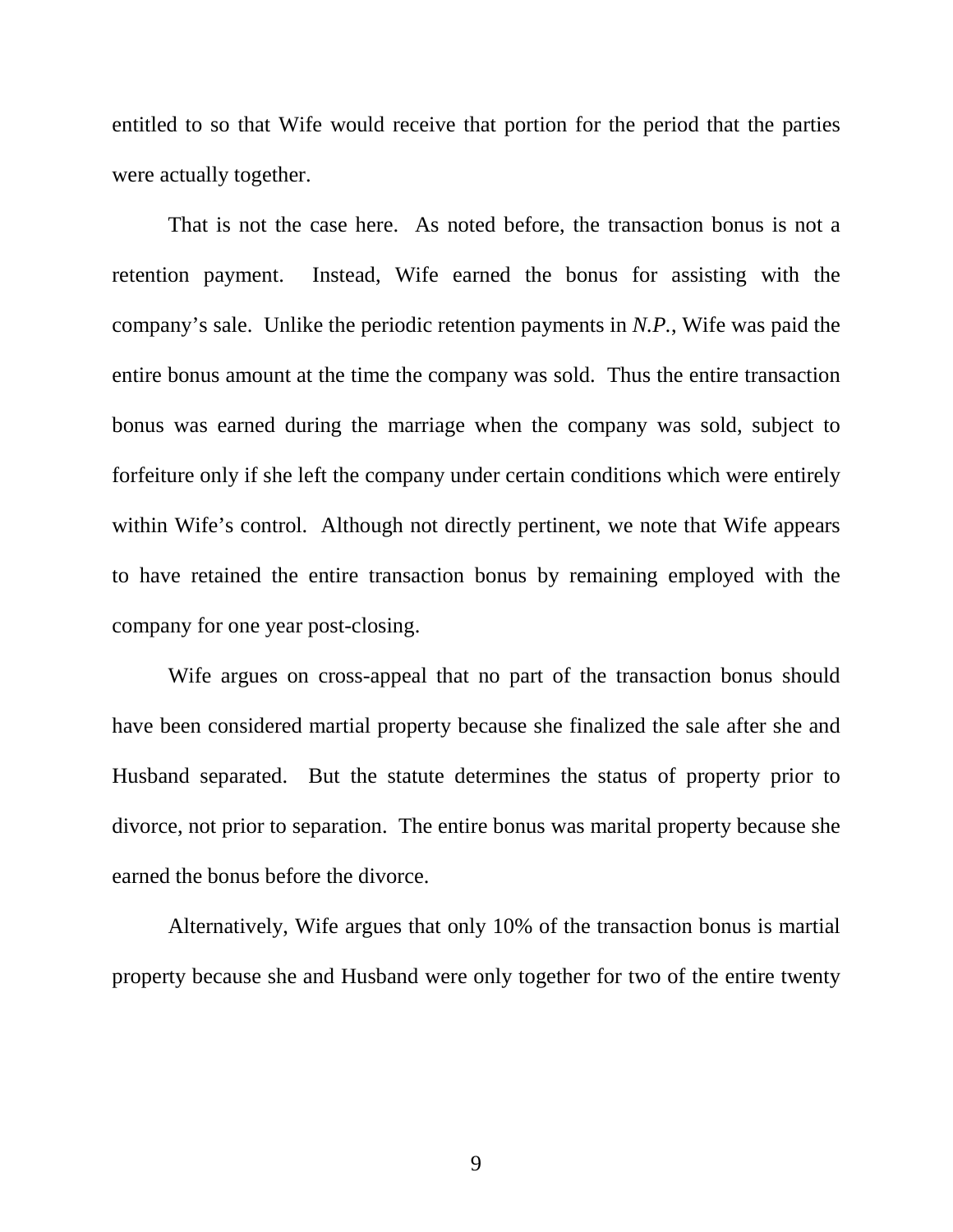entitled to so that Wife would receive that portion for the period that the parties were actually together.

 That is not the case here. As noted before, the transaction bonus is not a retention payment. Instead, Wife earned the bonus for assisting with the company's sale. Unlike the periodic retention payments in *N.P.*, Wife was paid the entire bonus amount at the time the company was sold. Thus the entire transaction bonus was earned during the marriage when the company was sold, subject to forfeiture only if she left the company under certain conditions which were entirely within Wife's control. Although not directly pertinent, we note that Wife appears to have retained the entire transaction bonus by remaining employed with the company for one year post-closing.

 Wife argues on cross-appeal that no part of the transaction bonus should have been considered martial property because she finalized the sale after she and Husband separated. But the statute determines the status of property prior to divorce, not prior to separation. The entire bonus was marital property because she earned the bonus before the divorce.

 Alternatively, Wife argues that only 10% of the transaction bonus is martial property because she and Husband were only together for two of the entire twenty

9